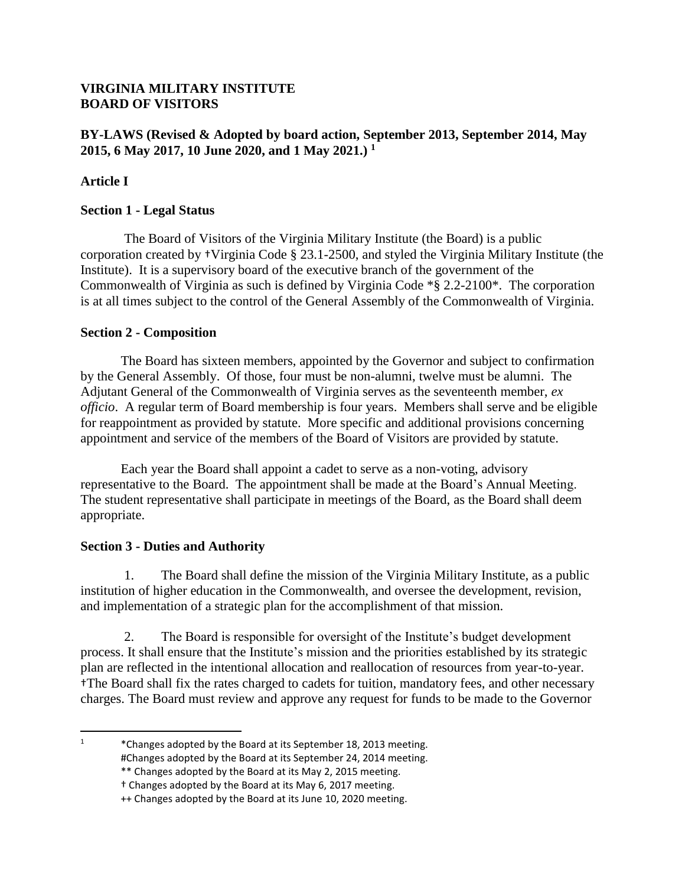#### **VIRGINIA MILITARY INSTITUTE BOARD OF VISITORS**

### **BY-LAWS (Revised & Adopted by board action, September 2013, September 2014, May 2015, 6 May 2017, 10 June 2020, and 1 May 2021.) 1**

### **Article I**

#### **Section 1 - Legal Status**

The Board of Visitors of the Virginia Military Institute (the Board) is a public corporation created by †Virginia Code § 23.1-2500, and styled the Virginia Military Institute (the Institute). It is a supervisory board of the executive branch of the government of the Commonwealth of Virginia as such is defined by Virginia Code \*§ 2.2-2100\*. The corporation is at all times subject to the control of the General Assembly of the Commonwealth of Virginia.

#### **Section 2 - Composition**

The Board has sixteen members, appointed by the Governor and subject to confirmation by the General Assembly. Of those, four must be non-alumni, twelve must be alumni. The Adjutant General of the Commonwealth of Virginia serves as the seventeenth member, *ex officio*.A regular term of Board membership is four years. Members shall serve and be eligible for reappointment as provided by statute. More specific and additional provisions concerning appointment and service of the members of the Board of Visitors are provided by statute.

Each year the Board shall appoint a cadet to serve as a non-voting, advisory representative to the Board. The appointment shall be made at the Board's Annual Meeting. The student representative shall participate in meetings of the Board, as the Board shall deem appropriate.

### **Section 3 - Duties and Authority**

 $\overline{\phantom{a}}$ 

1. The Board shall define the mission of the Virginia Military Institute, as a public institution of higher education in the Commonwealth, and oversee the development, revision, and implementation of a strategic plan for the accomplishment of that mission.

2. The Board is responsible for oversight of the Institute's budget development process. It shall ensure that the Institute's mission and the priorities established by its strategic plan are reflected in the intentional allocation and reallocation of resources from year-to-year. †The Board shall fix the rates charged to cadets for tuition, mandatory fees, and other necessary charges. The Board must review and approve any request for funds to be made to the Governor

<sup>1</sup> \*Changes adopted by the Board at its September 18, 2013 meeting. #Changes adopted by the Board at its September 24, 2014 meeting.

<sup>\*\*</sup> Changes adopted by the Board at its May 2, 2015 meeting.

<sup>†</sup> Changes adopted by the Board at its May 6, 2017 meeting.

<sup>++</sup> Changes adopted by the Board at its June 10, 2020 meeting.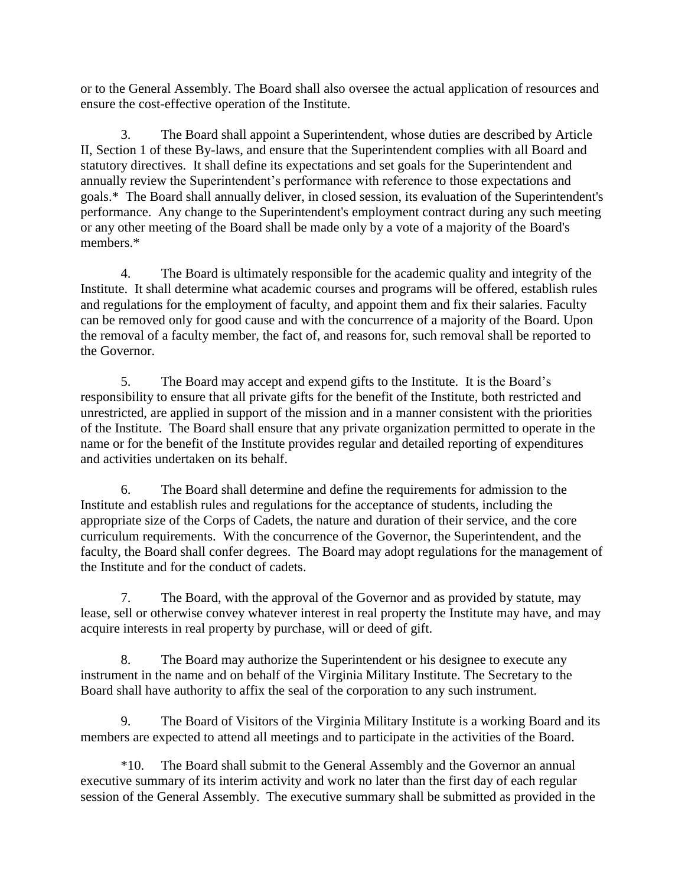or to the General Assembly. The Board shall also oversee the actual application of resources and ensure the cost-effective operation of the Institute.

3. The Board shall appoint a Superintendent, whose duties are described by Article II, Section 1 of these By-laws, and ensure that the Superintendent complies with all Board and statutory directives. It shall define its expectations and set goals for the Superintendent and annually review the Superintendent's performance with reference to those expectations and goals.\* The Board shall annually deliver, in closed session, its evaluation of the Superintendent's performance. Any change to the Superintendent's employment contract during any such meeting or any other meeting of the Board shall be made only by a vote of a majority of the Board's members.\*

4. The Board is ultimately responsible for the academic quality and integrity of the Institute. It shall determine what academic courses and programs will be offered, establish rules and regulations for the employment of faculty, and appoint them and fix their salaries. Faculty can be removed only for good cause and with the concurrence of a majority of the Board. Upon the removal of a faculty member, the fact of, and reasons for, such removal shall be reported to the Governor.

5. The Board may accept and expend gifts to the Institute. It is the Board's responsibility to ensure that all private gifts for the benefit of the Institute, both restricted and unrestricted, are applied in support of the mission and in a manner consistent with the priorities of the Institute. The Board shall ensure that any private organization permitted to operate in the name or for the benefit of the Institute provides regular and detailed reporting of expenditures and activities undertaken on its behalf.

6. The Board shall determine and define the requirements for admission to the Institute and establish rules and regulations for the acceptance of students, including the appropriate size of the Corps of Cadets, the nature and duration of their service, and the core curriculum requirements. With the concurrence of the Governor, the Superintendent, and the faculty, the Board shall confer degrees. The Board may adopt regulations for the management of the Institute and for the conduct of cadets.

7. The Board, with the approval of the Governor and as provided by statute, may lease, sell or otherwise convey whatever interest in real property the Institute may have, and may acquire interests in real property by purchase, will or deed of gift.

8. The Board may authorize the Superintendent or his designee to execute any instrument in the name and on behalf of the Virginia Military Institute. The Secretary to the Board shall have authority to affix the seal of the corporation to any such instrument.

9. The Board of Visitors of the Virginia Military Institute is a working Board and its members are expected to attend all meetings and to participate in the activities of the Board.

\*10. The Board shall submit to the General Assembly and the Governor an annual executive summary of its interim activity and work no later than the first day of each regular session of the General Assembly. The executive summary shall be submitted as provided in the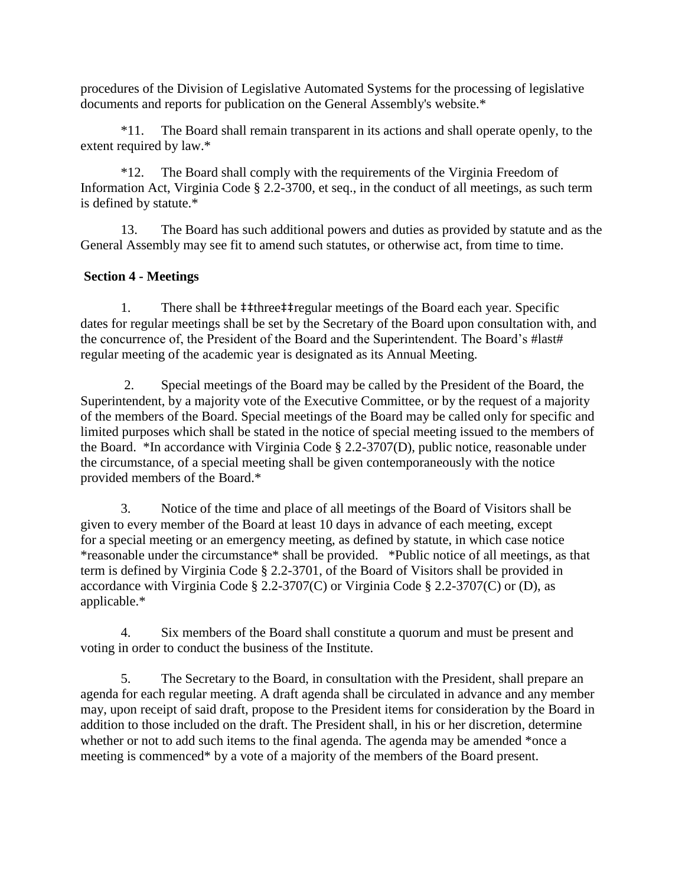procedures of the Division of Legislative Automated Systems for the processing of legislative documents and reports for publication on the General Assembly's website.\*

\*11. The Board shall remain transparent in its actions and shall operate openly, to the extent required by law.\*

\*12. The Board shall comply with the requirements of the Virginia Freedom of Information Act, Virginia Code § 2.2-3700, et seq., in the conduct of all meetings, as such term is defined by statute.\*

13. The Board has such additional powers and duties as provided by statute and as the General Assembly may see fit to amend such statutes, or otherwise act, from time to time.

### **Section 4 - Meetings**

1. There shall be ‡‡three‡‡regular meetings of the Board each year. Specific dates for regular meetings shall be set by the Secretary of the Board upon consultation with, and the concurrence of, the President of the Board and the Superintendent. The Board's #last# regular meeting of the academic year is designated as its Annual Meeting.

2. Special meetings of the Board may be called by the President of the Board, the Superintendent, by a majority vote of the Executive Committee, or by the request of a majority of the members of the Board. Special meetings of the Board may be called only for specific and limited purposes which shall be stated in the notice of special meeting issued to the members of the Board. \*In accordance with Virginia Code § 2.2-3707(D), public notice, reasonable under the circumstance, of a special meeting shall be given contemporaneously with the notice provided members of the Board.\*

3. Notice of the time and place of all meetings of the Board of Visitors shall be given to every member of the Board at least 10 days in advance of each meeting, except for a special meeting or an emergency meeting, as defined by statute, in which case notice \*reasonable under the circumstance\* shall be provided. \*Public notice of all meetings, as that term is defined by Virginia Code § 2.2-3701, of the Board of Visitors shall be provided in accordance with Virginia Code § 2.2-3707(C) or Virginia Code § 2.2-3707(C) or (D), as applicable.\*

4. Six members of the Board shall constitute a quorum and must be present and voting in order to conduct the business of the Institute.

5. The Secretary to the Board, in consultation with the President, shall prepare an agenda for each regular meeting. A draft agenda shall be circulated in advance and any member may, upon receipt of said draft, propose to the President items for consideration by the Board in addition to those included on the draft. The President shall, in his or her discretion, determine whether or not to add such items to the final agenda. The agenda may be amended \*once a meeting is commenced\* by a vote of a majority of the members of the Board present.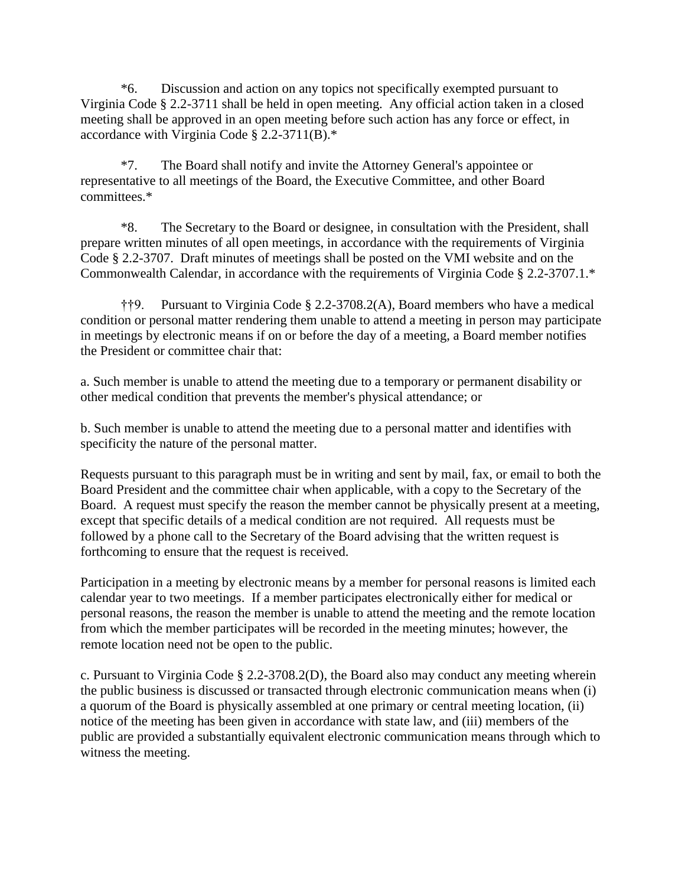\*6. Discussion and action on any topics not specifically exempted pursuant to Virginia Code § 2.2-3711 shall be held in open meeting. Any official action taken in a closed meeting shall be approved in an open meeting before such action has any force or effect, in accordance with Virginia Code § 2.2-3711(B).\*

\*7. The Board shall notify and invite the Attorney General's appointee or representative to all meetings of the Board, the Executive Committee, and other Board committees.\*

\*8. The Secretary to the Board or designee, in consultation with the President, shall prepare written minutes of all open meetings, in accordance with the requirements of Virginia Code § 2.2-3707. Draft minutes of meetings shall be posted on the VMI website and on the Commonwealth Calendar, in accordance with the requirements of Virginia Code § 2.2-3707.1.\*

††9. Pursuant to Virginia Code § 2.2-3708.2(A), Board members who have a medical condition or personal matter rendering them unable to attend a meeting in person may participate in meetings by electronic means if on or before the day of a meeting, a Board member notifies the President or committee chair that:

a. Such member is unable to attend the meeting due to a temporary or permanent disability or other medical condition that prevents the member's physical attendance; or

b. Such member is unable to attend the meeting due to a personal matter and identifies with specificity the nature of the personal matter.

Requests pursuant to this paragraph must be in writing and sent by mail, fax, or email to both the Board President and the committee chair when applicable, with a copy to the Secretary of the Board. A request must specify the reason the member cannot be physically present at a meeting, except that specific details of a medical condition are not required. All requests must be followed by a phone call to the Secretary of the Board advising that the written request is forthcoming to ensure that the request is received.

Participation in a meeting by electronic means by a member for personal reasons is limited each calendar year to two meetings. If a member participates electronically either for medical or personal reasons, the reason the member is unable to attend the meeting and the remote location from which the member participates will be recorded in the meeting minutes; however, the remote location need not be open to the public.

c. Pursuant to Virginia Code § 2.2-3708.2(D), the Board also may conduct any meeting wherein the public business is discussed or transacted through electronic communication means when (i) a quorum of the Board is physically assembled at one primary or central meeting location, (ii) notice of the meeting has been given in accordance with state law, and (iii) members of the public are provided a substantially equivalent electronic communication means through which to witness the meeting.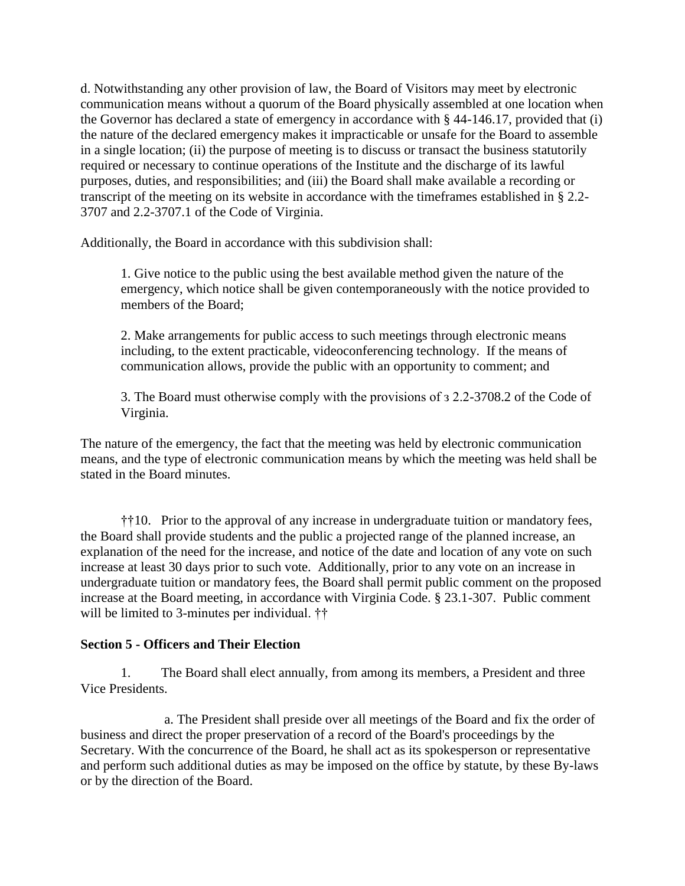d. Notwithstanding any other provision of law, the Board of Visitors may meet by electronic communication means without a quorum of the Board physically assembled at one location when the Governor has declared a state of emergency in accordance with § 44-146.17, provided that (i) the nature of the declared emergency makes it impracticable or unsafe for the Board to assemble in a single location; (ii) the purpose of meeting is to discuss or transact the business statutorily required or necessary to continue operations of the Institute and the discharge of its lawful purposes, duties, and responsibilities; and (iii) the Board shall make available a recording or transcript of the meeting on its website in accordance with the timeframes established in § 2.2- 3707 and 2.2-3707.1 of the Code of Virginia.

Additionally, the Board in accordance with this subdivision shall:

1. Give notice to the public using the best available method given the nature of the emergency, which notice shall be given contemporaneously with the notice provided to members of the Board;

2. Make arrangements for public access to such meetings through electronic means including, to the extent practicable, videoconferencing technology. If the means of communication allows, provide the public with an opportunity to comment; and

3. The Board must otherwise comply with the provisions of з 2.2-3708.2 of the Code of Virginia.

The nature of the emergency, the fact that the meeting was held by electronic communication means, and the type of electronic communication means by which the meeting was held shall be stated in the Board minutes.

††10. Prior to the approval of any increase in undergraduate tuition or mandatory fees, the Board shall provide students and the public a projected range of the planned increase, an explanation of the need for the increase, and notice of the date and location of any vote on such increase at least 30 days prior to such vote. Additionally, prior to any vote on an increase in undergraduate tuition or mandatory fees, the Board shall permit public comment on the proposed increase at the Board meeting, in accordance with Virginia Code. § 23.1-307. Public comment will be limited to 3-minutes per individual. ††

#### **Section 5 - Officers and Their Election**

1. The Board shall elect annually, from among its members, a President and three Vice Presidents.

a. The President shall preside over all meetings of the Board and fix the order of business and direct the proper preservation of a record of the Board's proceedings by the Secretary. With the concurrence of the Board, he shall act as its spokesperson or representative and perform such additional duties as may be imposed on the office by statute, by these By-laws or by the direction of the Board.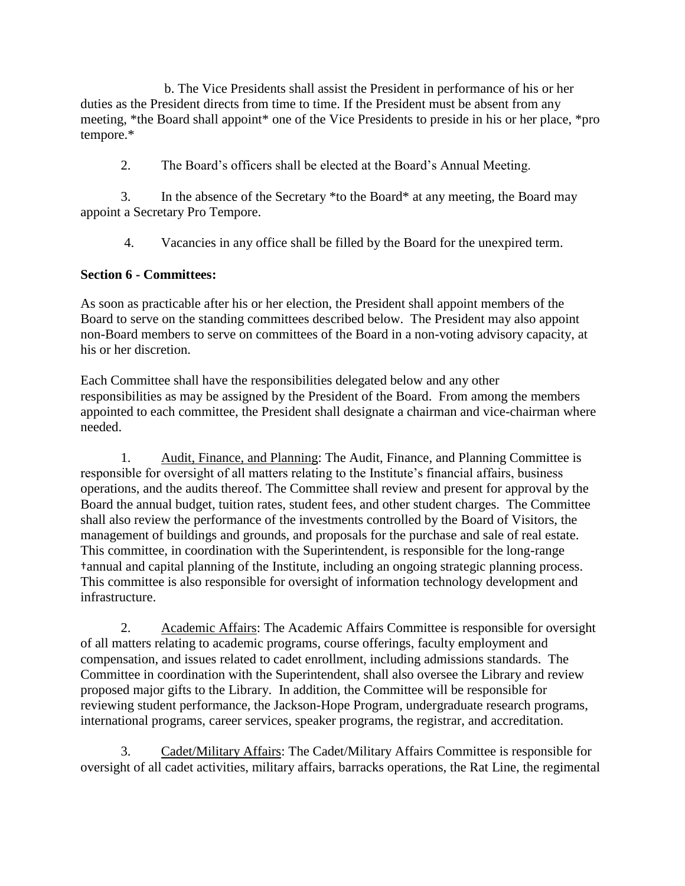b. The Vice Presidents shall assist the President in performance of his or her duties as the President directs from time to time. If the President must be absent from any meeting, \*the Board shall appoint\* one of the Vice Presidents to preside in his or her place, \*pro tempore.\*

2. The Board's officers shall be elected at the Board's Annual Meeting.

3. In the absence of the Secretary \*to the Board\* at any meeting, the Board may appoint a Secretary Pro Tempore.

4. Vacancies in any office shall be filled by the Board for the unexpired term.

### **Section 6 - Committees:**

As soon as practicable after his or her election, the President shall appoint members of the Board to serve on the standing committees described below. The President may also appoint non-Board members to serve on committees of the Board in a non-voting advisory capacity, at his or her discretion.

Each Committee shall have the responsibilities delegated below and any other responsibilities as may be assigned by the President of the Board. From among the members appointed to each committee, the President shall designate a chairman and vice-chairman where needed.

1. Audit, Finance, and Planning: The Audit, Finance, and Planning Committee is responsible for oversight of all matters relating to the Institute's financial affairs, business operations, and the audits thereof. The Committee shall review and present for approval by the Board the annual budget, tuition rates, student fees, and other student charges. The Committee shall also review the performance of the investments controlled by the Board of Visitors, the management of buildings and grounds, and proposals for the purchase and sale of real estate. This committee, in coordination with the Superintendent, is responsible for the long-range †annual and capital planning of the Institute, including an ongoing strategic planning process. This committee is also responsible for oversight of information technology development and infrastructure.

2. Academic Affairs: The Academic Affairs Committee is responsible for oversight of all matters relating to academic programs, course offerings, faculty employment and compensation, and issues related to cadet enrollment, including admissions standards. The Committee in coordination with the Superintendent, shall also oversee the Library and review proposed major gifts to the Library. In addition, the Committee will be responsible for reviewing student performance, the Jackson-Hope Program, undergraduate research programs, international programs, career services, speaker programs, the registrar, and accreditation.

3. Cadet/Military Affairs: The Cadet/Military Affairs Committee is responsible for oversight of all cadet activities, military affairs, barracks operations, the Rat Line, the regimental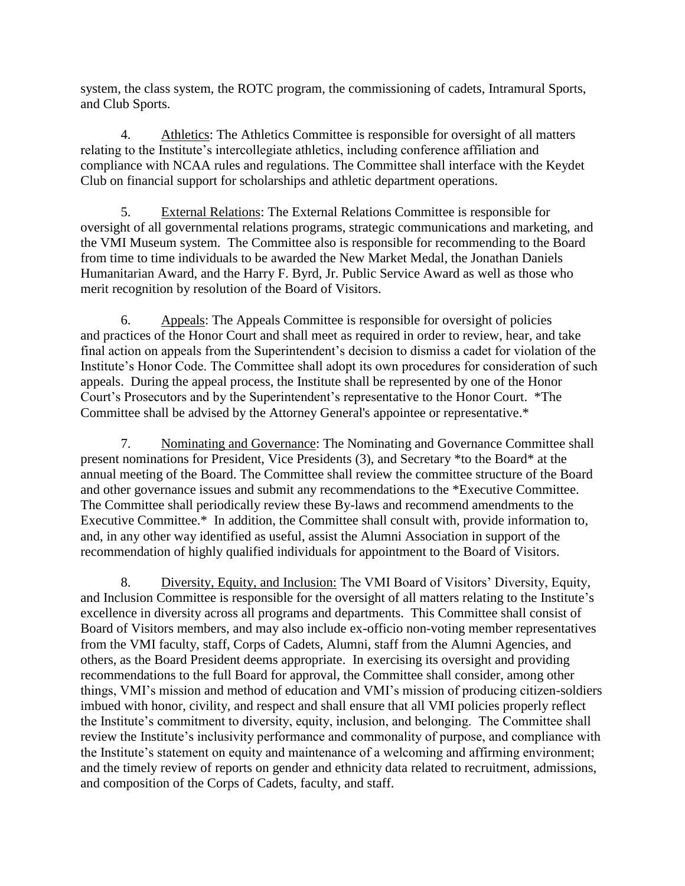system, the class system, the ROTC program, the commissioning of cadets, Intramural Sports, and Club Sports.

4. Athletics: The Athletics Committee is responsible for oversight of all matters relating to the Institute's intercollegiate athletics, including conference affiliation and compliance with NCAA rules and regulations. The Committee shall interface with the Keydet Club on financial support for scholarships and athletic department operations.

5. External Relations: The External Relations Committee is responsible for oversight of all governmental relations programs, strategic communications and marketing, and the VMI Museum system. The Committee also is responsible for recommending to the Board from time to time individuals to be awarded the New Market Medal, the Jonathan Daniels Humanitarian Award, and the Harry F. Byrd, Jr. Public Service Award as well as those who merit recognition by resolution of the Board of Visitors.

6. Appeals: The Appeals Committee is responsible for oversight of policies and practices of the Honor Court and shall meet as required in order to review, hear, and take final action on appeals from the Superintendent's decision to dismiss a cadet for violation of the Institute's Honor Code. The Committee shall adopt its own procedures for consideration of such appeals. During the appeal process, the Institute shall be represented by one of the Honor Court's Prosecutors and by the Superintendent's representative to the Honor Court. \*The Committee shall be advised by the Attorney General's appointee or representative.\*

7. Nominating and Governance: The Nominating and Governance Committee shall present nominations for President, Vice Presidents (3), and Secretary \*to the Board\* at the annual meeting of the Board. The Committee shall review the committee structure of the Board and other governance issues and submit any recommendations to the \*Executive Committee. The Committee shall periodically review these By-laws and recommend amendments to the Executive Committee.\* In addition, the Committee shall consult with, provide information to, and, in any other way identified as useful, assist the Alumni Association in support of the recommendation of highly qualified individuals for appointment to the Board of Visitors.

8. Diversity, Equity, and Inclusion: The VMI Board of Visitors' Diversity, Equity, and Inclusion Committee is responsible for the oversight of all matters relating to the Institute's excellence in diversity across all programs and departments. This Committee shall consist of Board of Visitors members, and may also include ex-officio non-voting member representatives from the VMI faculty, staff, Corps of Cadets, Alumni, staff from the Alumni Agencies, and others, as the Board President deems appropriate. In exercising its oversight and providing recommendations to the full Board for approval, the Committee shall consider, among other things, VMI's mission and method of education and VMI's mission of producing citizen-soldiers imbued with honor, civility, and respect and shall ensure that all VMI policies properly reflect the Institute's commitment to diversity, equity, inclusion, and belonging. The Committee shall review the Institute's inclusivity performance and commonality of purpose, and compliance with the Institute's statement on equity and maintenance of a welcoming and affirming environment; and the timely review of reports on gender and ethnicity data related to recruitment, admissions, and composition of the Corps of Cadets, faculty, and staff.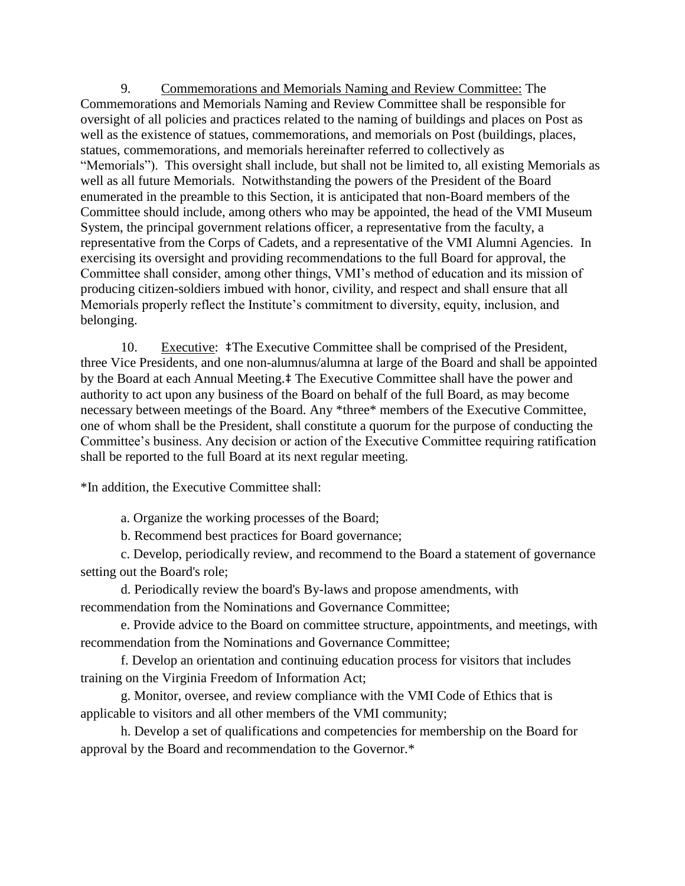9. Commemorations and Memorials Naming and Review Committee: The Commemorations and Memorials Naming and Review Committee shall be responsible for oversight of all policies and practices related to the naming of buildings and places on Post as well as the existence of statues, commemorations, and memorials on Post (buildings, places, statues, commemorations, and memorials hereinafter referred to collectively as "Memorials"). This oversight shall include, but shall not be limited to, all existing Memorials as well as all future Memorials. Notwithstanding the powers of the President of the Board enumerated in the preamble to this Section, it is anticipated that non-Board members of the Committee should include, among others who may be appointed, the head of the VMI Museum System, the principal government relations officer, a representative from the faculty, a representative from the Corps of Cadets, and a representative of the VMI Alumni Agencies. In exercising its oversight and providing recommendations to the full Board for approval, the Committee shall consider, among other things, VMI's method of education and its mission of producing citizen-soldiers imbued with honor, civility, and respect and shall ensure that all Memorials properly reflect the Institute's commitment to diversity, equity, inclusion, and belonging.

10. Executive: ‡The Executive Committee shall be comprised of the President, three Vice Presidents, and one non-alumnus/alumna at large of the Board and shall be appointed by the Board at each Annual Meeting.‡ The Executive Committee shall have the power and authority to act upon any business of the Board on behalf of the full Board, as may become necessary between meetings of the Board. Any \*three\* members of the Executive Committee, one of whom shall be the President, shall constitute a quorum for the purpose of conducting the Committee's business. Any decision or action of the Executive Committee requiring ratification shall be reported to the full Board at its next regular meeting.

\*In addition, the Executive Committee shall:

a. Organize the working processes of the Board;

b. Recommend best practices for Board governance;

c. Develop, periodically review, and recommend to the Board a statement of governance setting out the Board's role;

d. Periodically review the board's By-laws and propose amendments, with recommendation from the Nominations and Governance Committee;

e. Provide advice to the Board on committee structure, appointments, and meetings, with recommendation from the Nominations and Governance Committee;

f. Develop an orientation and continuing education process for visitors that includes training on the Virginia Freedom of Information Act;

g. Monitor, oversee, and review compliance with the VMI Code of Ethics that is applicable to visitors and all other members of the VMI community;

h. Develop a set of qualifications and competencies for membership on the Board for approval by the Board and recommendation to the Governor.\*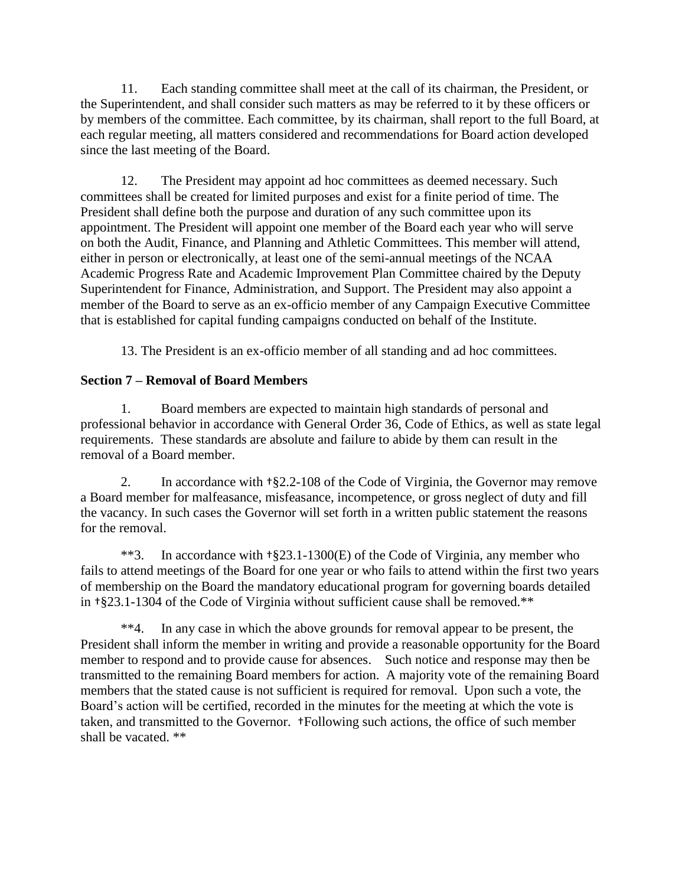11. Each standing committee shall meet at the call of its chairman, the President, or the Superintendent, and shall consider such matters as may be referred to it by these officers or by members of the committee. Each committee, by its chairman, shall report to the full Board, at each regular meeting, all matters considered and recommendations for Board action developed since the last meeting of the Board.

12. The President may appoint ad hoc committees as deemed necessary. Such committees shall be created for limited purposes and exist for a finite period of time. The President shall define both the purpose and duration of any such committee upon its appointment. The President will appoint one member of the Board each year who will serve on both the Audit, Finance, and Planning and Athletic Committees. This member will attend, either in person or electronically, at least one of the semi-annual meetings of the NCAA Academic Progress Rate and Academic Improvement Plan Committee chaired by the Deputy Superintendent for Finance, Administration, and Support. The President may also appoint a member of the Board to serve as an ex-officio member of any Campaign Executive Committee that is established for capital funding campaigns conducted on behalf of the Institute.

13. The President is an ex-officio member of all standing and ad hoc committees.

### **Section 7 – Removal of Board Members**

1. Board members are expected to maintain high standards of personal and professional behavior in accordance with General Order 36, Code of Ethics, as well as state legal requirements. These standards are absolute and failure to abide by them can result in the removal of a Board member.

2. In accordance with †§2.2-108 of the Code of Virginia, the Governor may remove a Board member for malfeasance, misfeasance, incompetence, or gross neglect of duty and fill the vacancy. In such cases the Governor will set forth in a written public statement the reasons for the removal.

\*\*3. In accordance with †§23.1-1300(E) of the Code of Virginia, any member who fails to attend meetings of the Board for one year or who fails to attend within the first two years of membership on the Board the mandatory educational program for governing boards detailed in †§23.1-1304 of the Code of Virginia without sufficient cause shall be removed.\*\*

\*\*4. In any case in which the above grounds for removal appear to be present, the President shall inform the member in writing and provide a reasonable opportunity for the Board member to respond and to provide cause for absences. Such notice and response may then be transmitted to the remaining Board members for action. A majority vote of the remaining Board members that the stated cause is not sufficient is required for removal. Upon such a vote, the Board's action will be certified, recorded in the minutes for the meeting at which the vote is taken, and transmitted to the Governor. †Following such actions, the office of such member shall be vacated. \*\*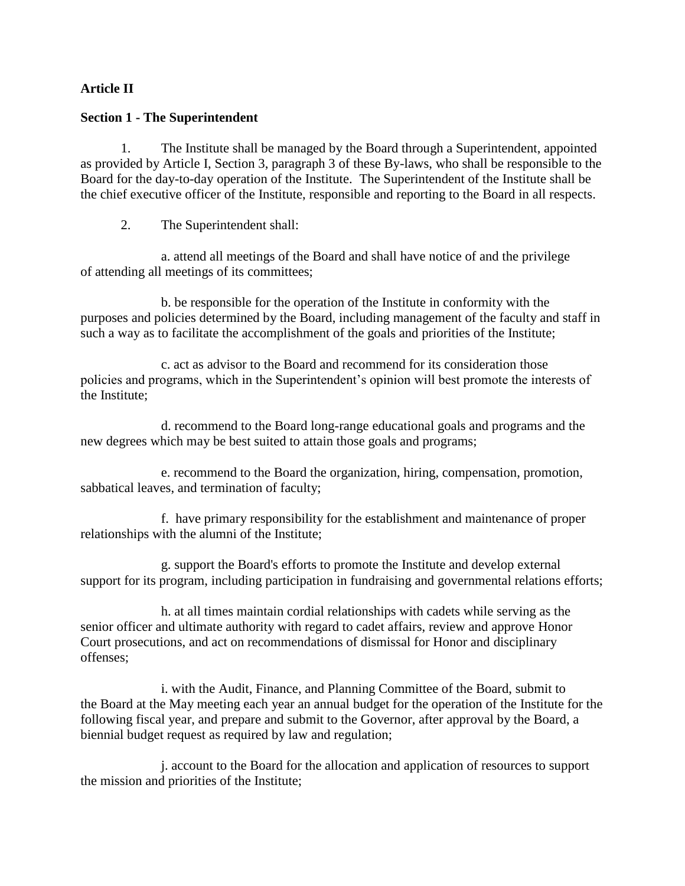### **Article II**

#### **Section 1 - The Superintendent**

1. The Institute shall be managed by the Board through a Superintendent, appointed as provided by Article I, Section 3, paragraph 3 of these By-laws, who shall be responsible to the Board for the day-to-day operation of the Institute. The Superintendent of the Institute shall be the chief executive officer of the Institute, responsible and reporting to the Board in all respects.

2. The Superintendent shall:

a. attend all meetings of the Board and shall have notice of and the privilege of attending all meetings of its committees;

b. be responsible for the operation of the Institute in conformity with the purposes and policies determined by the Board, including management of the faculty and staff in such a way as to facilitate the accomplishment of the goals and priorities of the Institute;

c. act as advisor to the Board and recommend for its consideration those policies and programs, which in the Superintendent's opinion will best promote the interests of the Institute;

d. recommend to the Board long-range educational goals and programs and the new degrees which may be best suited to attain those goals and programs;

e. recommend to the Board the organization, hiring, compensation, promotion, sabbatical leaves, and termination of faculty;

f. have primary responsibility for the establishment and maintenance of proper relationships with the alumni of the Institute;

g. support the Board's efforts to promote the Institute and develop external support for its program, including participation in fundraising and governmental relations efforts;

h. at all times maintain cordial relationships with cadets while serving as the senior officer and ultimate authority with regard to cadet affairs, review and approve Honor Court prosecutions, and act on recommendations of dismissal for Honor and disciplinary offenses;

i. with the Audit, Finance, and Planning Committee of the Board, submit to the Board at the May meeting each year an annual budget for the operation of the Institute for the following fiscal year, and prepare and submit to the Governor, after approval by the Board, a biennial budget request as required by law and regulation;

j. account to the Board for the allocation and application of resources to support the mission and priorities of the Institute;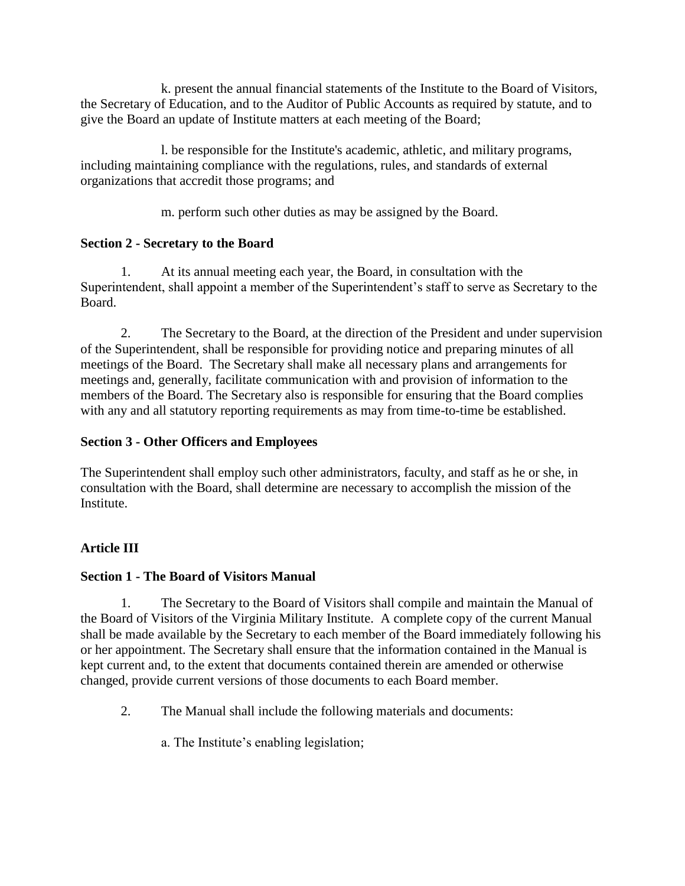k. present the annual financial statements of the Institute to the Board of Visitors, the Secretary of Education, and to the Auditor of Public Accounts as required by statute, and to give the Board an update of Institute matters at each meeting of the Board;

l. be responsible for the Institute's academic, athletic, and military programs, including maintaining compliance with the regulations, rules, and standards of external organizations that accredit those programs; and

m. perform such other duties as may be assigned by the Board.

# **Section 2 - Secretary to the Board**

1. At its annual meeting each year, the Board, in consultation with the Superintendent, shall appoint a member of the Superintendent's staff to serve as Secretary to the Board.

2. The Secretary to the Board, at the direction of the President and under supervision of the Superintendent, shall be responsible for providing notice and preparing minutes of all meetings of the Board. The Secretary shall make all necessary plans and arrangements for meetings and, generally, facilitate communication with and provision of information to the members of the Board. The Secretary also is responsible for ensuring that the Board complies with any and all statutory reporting requirements as may from time-to-time be established.

# **Section 3 - Other Officers and Employees**

The Superintendent shall employ such other administrators, faculty, and staff as he or she, in consultation with the Board, shall determine are necessary to accomplish the mission of the Institute.

# **Article III**

# **Section 1 - The Board of Visitors Manual**

1. The Secretary to the Board of Visitors shall compile and maintain the Manual of the Board of Visitors of the Virginia Military Institute. A complete copy of the current Manual shall be made available by the Secretary to each member of the Board immediately following his or her appointment. The Secretary shall ensure that the information contained in the Manual is kept current and, to the extent that documents contained therein are amended or otherwise changed, provide current versions of those documents to each Board member.

2. The Manual shall include the following materials and documents:

a. The Institute's enabling legislation;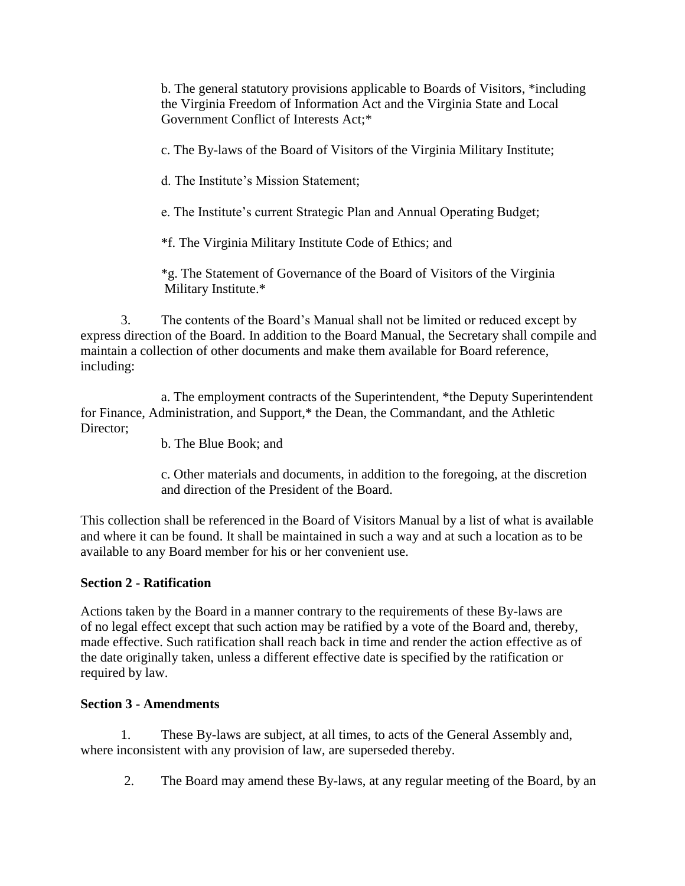b. The general statutory provisions applicable to Boards of Visitors, \*including the Virginia Freedom of Information Act and the Virginia State and Local Government Conflict of Interests Act;\*

c. The By-laws of the Board of Visitors of the Virginia Military Institute;

d. The Institute's Mission Statement;

e. The Institute's current Strategic Plan and Annual Operating Budget;

\*f. The Virginia Military Institute Code of Ethics; and

\*g. The Statement of Governance of the Board of Visitors of the Virginia Military Institute.\*

3. The contents of the Board's Manual shall not be limited or reduced except by express direction of the Board. In addition to the Board Manual, the Secretary shall compile and maintain a collection of other documents and make them available for Board reference, including:

a. The employment contracts of the Superintendent, \*the Deputy Superintendent for Finance, Administration, and Support,\* the Dean, the Commandant, and the Athletic Director:

b. The Blue Book; and

c. Other materials and documents, in addition to the foregoing, at the discretion and direction of the President of the Board.

This collection shall be referenced in the Board of Visitors Manual by a list of what is available and where it can be found. It shall be maintained in such a way and at such a location as to be available to any Board member for his or her convenient use.

### **Section 2 - Ratification**

Actions taken by the Board in a manner contrary to the requirements of these By-laws are of no legal effect except that such action may be ratified by a vote of the Board and, thereby, made effective. Such ratification shall reach back in time and render the action effective as of the date originally taken, unless a different effective date is specified by the ratification or required by law.

### **Section 3 - Amendments**

1. These By-laws are subject, at all times, to acts of the General Assembly and, where inconsistent with any provision of law, are superseded thereby.

2. The Board may amend these By-laws, at any regular meeting of the Board, by an